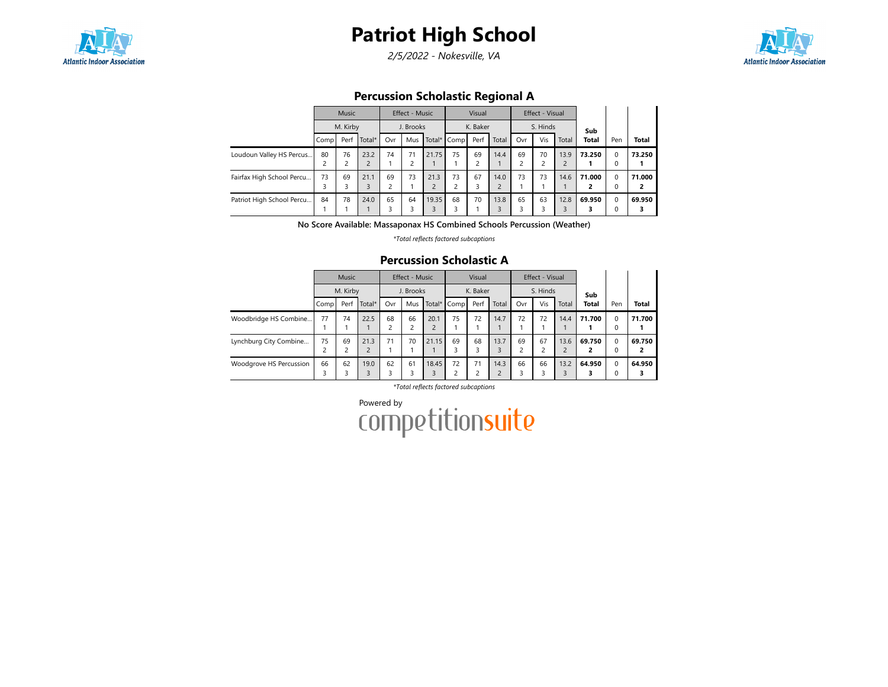

2/5/2022 - Nokesville, VA



### Percussion Scholastic Regional A

|                           |      | Music                |                        |         | Effect - Music       |            |                               | Visual                        |                        |     | Effect - Visual |           |              |                  |              |
|---------------------------|------|----------------------|------------------------|---------|----------------------|------------|-------------------------------|-------------------------------|------------------------|-----|-----------------|-----------|--------------|------------------|--------------|
|                           |      | M. Kirby             |                        |         | J. Brooks            |            |                               | K. Baker                      |                        |     | S. Hinds        |           | Sub          |                  |              |
|                           | Comp | Perf                 | Total*                 | Ovr     | Mus                  |            | Total* Comp                   | Perf                          | Total                  | Ovr | Vis             | Total     | <b>Total</b> | Pen              | <b>Total</b> |
| Loudoun Valley HS Percus  | 80   | 76<br>$\overline{c}$ | 23.2<br>$\overline{2}$ | 74      | 71<br>$\overline{c}$ | 21.75      | 75                            | 69<br>$\overline{\mathbf{c}}$ | 14.4                   | 69  | 70              | 13.9      | 73.250       | $\Omega$<br>0    | 73.250       |
| Fairfax High School Percu | 73   | 69<br>3              | 21.1<br>3              | 69<br>2 | 73                   | 21.3<br>C. | 73<br>$\overline{\mathbf{c}}$ | 67<br>3                       | 14.0<br>$\overline{2}$ | 73  | 73              | 14.6      | 71.000<br>2  | $\Omega$<br>0    | 71.000<br>2  |
| Patriot High School Percu | 84   | 78                   | 24.0                   | 65<br>3 | 64<br>3              | 19.35      | 68<br>3                       | 70                            | 13.8<br>3              | 65  | 63              | 12.8<br>3 | 69.950<br>3  | $\mathbf 0$<br>0 | 69.950       |

No Score Available: Massaponax HS Combined Schools Percussion (Weather)

\*Total reflects factored subcaptions

### Percussion Scholastic A

|                         |      | <b>Music</b> |                        |                      | Effect - Music |            |         | Visual   |                        |     | Effect - Visual |           |              |                  |              |
|-------------------------|------|--------------|------------------------|----------------------|----------------|------------|---------|----------|------------------------|-----|-----------------|-----------|--------------|------------------|--------------|
|                         |      | M. Kirby     |                        |                      | J. Brooks      |            |         | K. Baker |                        |     | S. Hinds        |           | Sub          |                  |              |
|                         | Comp | Perf         | Total*                 | Ovr                  | Mus            | Total*     | Comp    | Perf     | Total                  | Ovr | Vis             | Total     | <b>Total</b> | Pen              | <b>Total</b> |
| Woodbridge HS Combine   | 77   | 74           | 22.5                   | 68<br>$\overline{2}$ | 66<br>C        | 20.1<br>C  | 75      | 72       | 14.7                   | 72  | 72              | 14.4      | 71.700       | $\mathbf 0$<br>0 | 71.700       |
| Lynchburg City Combine  | 75   | 69           | 21.3<br>$\overline{2}$ | 71                   | 70             | 21.15      | 69<br>3 | 68<br>3  | 13.7                   | 69  | 67              | 13.6      | 69.750<br>2  | $\Omega$<br>0    | 69.750<br>2  |
| Woodgrove HS Percussion | 66   | 62           | 19.0<br>3              | 62<br>3              | 61<br>3        | 18.45<br>3 | 72<br>2 | 71<br>n  | 14.3<br>$\overline{c}$ | 66  | 66              | 13.2<br>3 | 64.950       | $\Omega$<br>0    | 64.950       |

\*Total reflects factored subcaptions

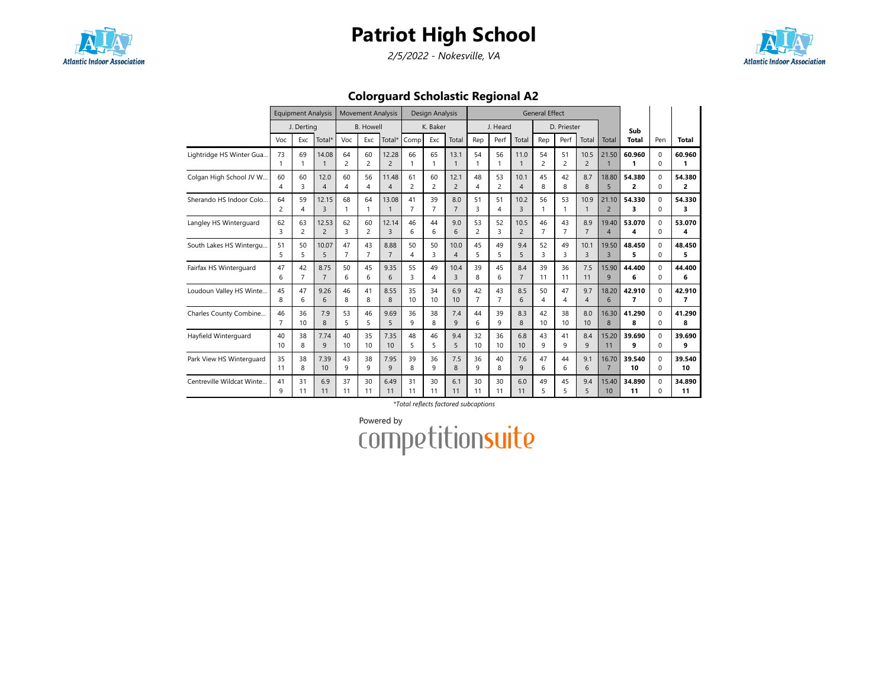

2/5/2022 - Nokesville, VA



Colorguard Scholastic Regional A2

|                           |                | <b>Equipment Analysis</b> |                         |                | <b>Movement Analysis</b> |                         |                      | Design Analysis |                       |                |                |                | <b>General Effect</b> |                  |                        |                         |              |                      |                |
|---------------------------|----------------|---------------------------|-------------------------|----------------|--------------------------|-------------------------|----------------------|-----------------|-----------------------|----------------|----------------|----------------|-----------------------|------------------|------------------------|-------------------------|--------------|----------------------|----------------|
|                           |                | J. Derting                |                         |                | <b>B.</b> Howell         |                         |                      | K. Baker        |                       |                | J. Heard       |                |                       | D. Priester      |                        |                         | Sub          |                      |                |
|                           | Voc            | Exc                       | Total*                  | Voc            | Exc                      | Total*                  | Comp                 | Exc             | Total                 | Rep            | Perf           | Total          | Rep                   | Perf             | Total                  | Total                   | <b>Total</b> | Pen                  | <b>Total</b>   |
| Lightridge HS Winter Gua  | 73             | 69                        | 14.08                   | 64<br>2        | 60<br>2                  | 12.28<br>$\overline{2}$ | 66                   | 65              | 13.1<br>$\mathbf{1}$  | 54<br>1        | 56             | 11.0           | 54<br>$\overline{c}$  | 51<br>2          | 10.5<br>$\overline{2}$ | 21.50                   | 60.960       | $\Omega$<br>$\Omega$ | 60.960         |
| Colgan High School JV W   | 60             | 60                        | 12.0                    | 60             | 56                       | 11.48                   | 61                   | 60              | 12.1                  | 48             | 53             | 10.1           | 45                    | 42               | 8.7                    | 18.80                   | 54.380       | $\Omega$             | 54.380         |
|                           | 4              | 3                         | $\overline{4}$          | 4              | $\overline{4}$           | $\overline{4}$          | $\overline{2}$       | 2               | $\overline{2}$        | 4              | $\overline{2}$ | $\overline{4}$ | 8                     | 8                | 8                      | 5                       | 2            | $\Omega$             | $\overline{2}$ |
| Sherando HS Indoor Colo.  | 64<br>2        | 59<br>4                   | 12.15<br>$\overline{3}$ | 68<br>1        | 64<br>-1                 | 13.08<br>$\mathbf{1}$   | 41<br>$\overline{7}$ | 39<br>7         | 8.0<br>$\overline{7}$ | 51<br>3        | 51<br>4        | 10.2<br>3      | 56<br>1               | 53               | 10.9<br>1              | 21.10<br>$\overline{2}$ | 54.330<br>3  | $\Omega$<br>$\Omega$ | 54.330<br>3    |
| Langley HS Winterguard    | 62             | 63                        | 12.53                   | 62             | 60                       | 12.14                   | 46                   | 44              | 9.0                   | 53             | 52             | 10.5           | 46                    | 43               | 8.9                    | 19.40                   | 53.070       | $\Omega$             | 53.070         |
|                           | 3              | 2                         | $\overline{2}$          | 3              | $\overline{2}$           | 3                       | 6                    | 6               | 6                     | $\overline{c}$ | 3              | $\overline{c}$ | $\overline{7}$        | $\overline{7}$   | $\overline{7}$         | $\overline{4}$          | 4            | $\Omega$             | 4              |
| South Lakes HS Wintergu   | 51             | 50                        | 10.07                   | 47             | 43                       | 8.88                    | 50                   | 50              | 10.0                  | 45             | 49             | 9.4            | 52                    | 49               | 10.1                   | 19.50                   | 48.450       | $\Omega$             | 48.450         |
|                           | 5              | 5                         | 5                       | $\overline{7}$ | $\overline{7}$           | $\overline{7}$          | 4                    | 3               | $\overline{4}$        | 5              | 5              | 5              | 3                     | 3                | 3                      | $\overline{3}$          | 5            | $\Omega$             | 5              |
| Fairfax HS Winterquard    | 47             | 42                        | 8.75                    | 50             | 45                       | 9.35                    | 55                   | 49              | 10.4                  | 39             | 45             | 8.4            | 39                    | 36               | 7.5                    | 15.90                   | 44.400       | $\Omega$             | 44.400         |
|                           | 6              | $\overline{7}$            | $\overline{7}$          | 6              | 6                        | 6                       | 3                    | 4               | 3                     | 8              | 6              | $\overline{7}$ | 11                    | 11               | 11                     | 9                       | 6            | $\Omega$             | 6              |
| Loudoun Valley HS Winte   | 45             | 47                        | 9.26                    | 46             | 41                       | 8.55                    | 35                   | 34              | 6.9                   | 42             | 43             | 8.5            | 50                    | 47               | 9.7                    | 18.20                   | 42.910       | $\Omega$             | 42.910         |
|                           | 8              | 6                         | 6                       | 8              | 8                        | 8                       | 10                   | 10              | 10                    | $\overline{7}$ | $\overline{7}$ | 6              | 4                     | 4                | $\overline{4}$         | 6                       | 7            | $\Omega$             | 7              |
| Charles County Combine    | 46             | 36                        | 7.9                     | 53             | 46                       | 9.69                    | 36                   | 38              | 7.4                   | 44             | 39             | 8.3            | 42                    | 38               | 8.0                    | 16.30                   | 41.290       | $\Omega$             | 41.290         |
|                           | $\overline{7}$ | 10                        | 8                       | 5              | 5                        | 5                       | q                    | 8               | 9                     | 6              | 9              | 8              | 10 <sup>10</sup>      | 10 <sup>10</sup> | 10                     | 8                       | 8            | $\Omega$             | 8              |
| Hayfield Winterguard      | 40             | 38                        | 7.74                    | 40             | 35                       | 7.35                    | 48                   | 46              | 9.4                   | 32             | 36             | 6.8            | 43                    | 41               | 8.4                    | 15.20                   | 39.690       | $\Omega$             | 39.690         |
|                           | 10             | 8                         | 9                       | 10             | 10                       | 10                      | 5                    | 5               | 5                     | 10             | 10             | 10             | 9                     | 9                | 9                      | 11                      | 9            | $\Omega$             | 9              |
| Park View HS Winterguard  | 35             | 38                        | 7.39                    | 43             | 38                       | 7.95                    | 39                   | 36              | 7.5                   | 36             | 40             | 7.6            | 47                    | 44               | 9.1                    | 16.70                   | 39.540       | $\Omega$             | 39.540         |
|                           | 11             | 8                         | 10                      | 9              | 9                        | 9                       | 8                    | 9               | 8                     | 9              | 8              | 9              | 6                     | 6                | 6                      | $\overline{7}$          | 10           | $\Omega$             | 10             |
| Centreville Wildcat Winte | 41             | 31                        | 6.9                     | 37             | 30                       | 6.49                    | 31                   | 30              | 6.1                   | 30             | 30             | 6.0            | 49                    | 45               | 9.4                    | 15.40                   | 34.890       | $\Omega$             | 34.890         |
|                           | 9              | 11                        | 11                      | 11             | 11                       | 11                      | 11                   | 11              | 11                    | 11             | 11             | 11             | 5                     | 5.               | 5                      | 10                      | 11           | $\Omega$             | 11             |

\*Total reflects factored subcaptions

Powered by<br>COMPetitionsuite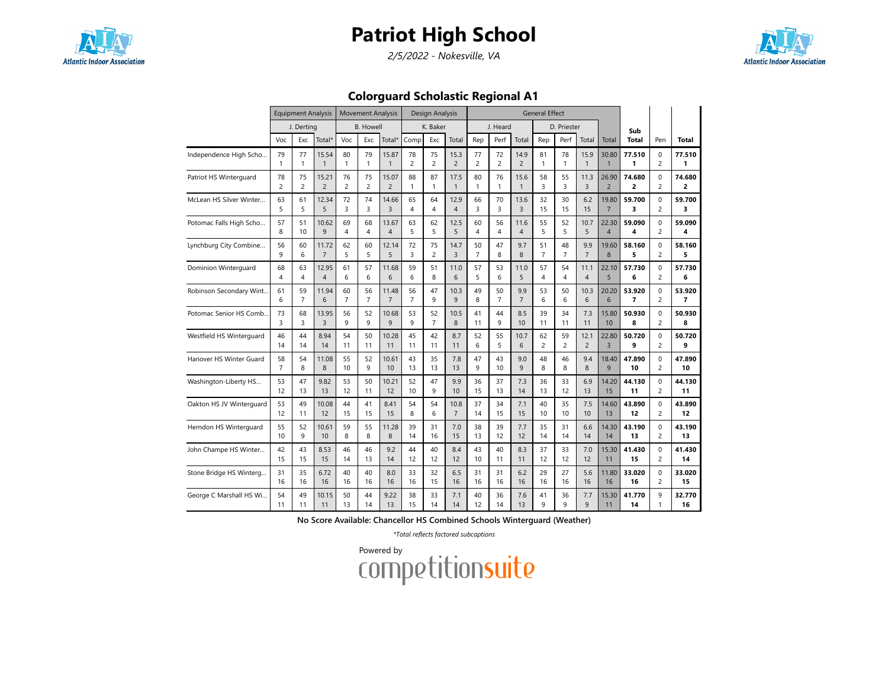

2/5/2022 - Nokesville, VA



Colorguard Scholastic Regional A1

|                          |                | <b>Equipment Analysis</b> |                |                | <b>Movement Analysis</b> |                |                | Design Analysis |                |                |                |                | <b>General Effect</b> |                |                |                |                |                |                |
|--------------------------|----------------|---------------------------|----------------|----------------|--------------------------|----------------|----------------|-----------------|----------------|----------------|----------------|----------------|-----------------------|----------------|----------------|----------------|----------------|----------------|----------------|
|                          |                | J. Derting                |                |                | <b>B.</b> Howell         |                |                | K. Baker        |                |                | J. Heard       |                |                       | D. Priester    |                |                | Sub            |                |                |
|                          | Voc            | Exc                       | Total*         | Voc            | Exc                      | Total*         | Comp           | Exc             | Total          | Rep            | Perf           | Total          | Rep                   | Perf           | Total          | Total          | <b>Total</b>   | Pen            | <b>Total</b>   |
| Independence High Scho   | 79             | 77                        | 15.54          | 80             | 79                       | 15.87          | 78             | 75              | 15.3           | 77             | 72             | 14.9           | 81                    | 78             | 15.9           | 30.80          | 77.510         | $\mathbf 0$    | 77.510         |
|                          | $\mathbf{1}$   | $\mathbf{1}$              | $\mathbf{1}$   | $\mathbf{1}$   | 1                        | $\mathbf{1}$   | $\overline{c}$ | $\overline{c}$  | $\overline{2}$ | $\overline{c}$ | $\overline{c}$ | $\overline{2}$ | $\mathbf{1}$          | $\mathbf{1}$   | $\mathbf{1}$   | $\mathbf{1}$   | 1              | $\overline{c}$ | 1              |
| Patriot HS Winterguard   | 78             | 75                        | 15.21          | 76             | 75                       | 15.07          | 88             | 87              | 17.5           | 80             | 76             | 15.6           | 58                    | 55             | 11.3           | 26.90          | 74.680         | 0              | 74.680         |
|                          | $\overline{c}$ | $\overline{c}$            | $\overline{2}$ | $\overline{c}$ | $\overline{c}$           | $\overline{2}$ | $\mathbf{1}$   | $\mathbf{1}$    | $\mathbf{1}$   | $\mathbf{1}$   | $\mathbf{1}$   | $\mathbf{1}$   | 3                     | 3              | $\overline{3}$ | $\overline{2}$ | $\overline{2}$ | $\overline{c}$ | $\overline{a}$ |
| McLean HS Silver Winter  | 63             | 61                        | 12.34          | 72             | 74                       | 14.66          | 65             | 64              | 12.9           | 66             | 70             | 13.6           | 32                    | 30             | 6.2            | 19.80          | 59.700         | 0              | 59.700         |
|                          | 5              | 5                         | 5              | 3              | 3                        | 3              | 4              | 4               | $\overline{4}$ | 3              | 3              | 3              | 15                    | 15             | 15             | $\overline{7}$ | 3              | $\overline{c}$ | 3              |
| Potomac Falls High Scho  | 57             | 51                        | 10.62          | 69             | 68                       | 13.67          | 63             | 62              | 12.5           | 60             | 56             | 11.6           | 55                    | 52             | 10.7           | 22.30          | 59.090         | 0              | 59.090         |
|                          | 8              | 10                        | 9              | $\overline{4}$ | $\overline{4}$           | $\overline{4}$ | 5              | 5               | 5              | $\overline{4}$ | $\overline{4}$ | $\overline{4}$ | 5                     | 5              | 5              | $\overline{4}$ | 4              | $\overline{c}$ | 4              |
| Lynchburg City Combine   | 56             | 60                        | 11.72          | 62             | 60                       | 12.14          | 72             | 75              | 14.7           | 50             | 47             | 9.7            | 51                    | 48             | 9.9            | 19.60          | 58.160         | 0              | 58.160         |
|                          | $\mathbf{q}$   | 6                         | $\overline{7}$ | 5              | 5                        | 5              | 3              | $\overline{c}$  | $\overline{3}$ | $\overline{7}$ | 8              | 8              | $\overline{7}$        | $\overline{7}$ | $\overline{7}$ | 8              | 5              | $\overline{2}$ | 5              |
| Dominion Winterguard     | 68             | 63                        | 12.95          | 61             | 57                       | 11.68          | 59             | 51              | 11.0           | 57             | 53             | 11.0           | 57                    | 54             | 11.1           | 22.10          | 57.730         | $\mathbf 0$    | 57.730         |
|                          | $\overline{4}$ | 4                         | $\overline{4}$ | 6              | 6                        | 6              | 6              | 8               | 6              | 5              | 6              | 5              | $\overline{4}$        | 4              | $\overline{4}$ | 5              | 6              | $\overline{c}$ | 6              |
| Robinson Secondary Wint  | 61             | 59                        | 11.94          | 60             | 56                       | 11.48          | 56             | 47              | 10.3           | 49             | 50             | 9.9            | 53                    | 50             | 10.3           | 20.20          | 53.920         | $\mathbf 0$    | 53.920         |
|                          | 6              | $\overline{7}$            | 6              | $\overline{7}$ | $\overline{7}$           | $\overline{7}$ | $\overline{7}$ | 9               | 9              | 8              | $\overline{7}$ | $\overline{7}$ | 6                     | 6              | 6              | 6              | $\overline{7}$ | $\overline{c}$ | $\overline{7}$ |
| Potomac Senior HS Comb   | 73             | 68                        | 13.95          | 56             | 52                       | 10.68          | 53             | 52              | 10.5           | 41             | 44             | 8.5            | 39                    | 34             | 7.3            | 15.80          | 50.930         | $\Omega$       | 50.930         |
|                          | 3              | 3                         | 3              | 9              | 9                        | 9              | 9              | $\overline{7}$  | 8              | 11             | 9              | 10             | 11                    | 11             | 11             | 10             | 8              | $\overline{c}$ | 8              |
| Westfield HS Winterguard | 46             | 44                        | 8.94           | 54             | 50                       | 10.28          | 45             | 42              | 8.7            | 52             | 55             | 10.7           | 62                    | 59             | 12.1           | 22.80          | 50.720         | 0              | 50.720         |
|                          | 14             | 14                        | 14             | 11             | 11                       | 11             | 11             | 11              | 11             | 6              | 5              | 6              | $\overline{c}$        | $\overline{c}$ | $\overline{c}$ | $\overline{3}$ | 9              | $\overline{c}$ | 9              |
| Hanover HS Winter Guard  | 58             | 54                        | 11.08          | 55             | 52                       | 10.61          | 43             | 35              | 7.8            | 47             | 43             | 9.0            | 48                    | 46             | 9.4            | 18.40          | 47.890         | 0              | 47.890         |
|                          | $\overline{7}$ | 8                         | 8              | 10             | 9                        | 10             | 13             | 13              | 13             | 9              | 10             | 9              | 8                     | 8              | 8              | 9              | 10             | $\overline{c}$ | 10             |
| Washington-Liberty HS    | 53             | 47                        | 9.82           | 53             | 50                       | 10.21          | 52             | 47              | 9.9            | 36             | 37             | 7.3            | 36                    | 33             | 6.9            | 14.20          | 44.130         | 0              | 44.130         |
|                          | 12             | 13                        | 13             | 12             | 11                       | 12             | 10             | 9               | 10             | 15             | 13             | 14             | 13                    | 12             | 13             | 15             | 11             | $\overline{c}$ | 11             |
| Oakton HS JV Winterguard | 53             | 49                        | 10.08          | 44             | 41                       | 8.41           | 54             | 54              | 10.8           | 37             | 34             | 7.1            | 40                    | 35             | 7.5            | 14.60          | 43.890         | 0              | 43.890         |
|                          | 12             | 11                        | 12             | 15             | 15                       | 15             | 8              | 6               | $\overline{7}$ | 14             | 15             | 15             | 10                    | 10             | 10             | 13             | 12             | $\overline{c}$ | 12             |
| Herndon HS Winterguard   | 55             | 52                        | 10.61          | 59             | 55                       | 11.28          | 39             | 31              | 7.0            | 38             | 39             | 7.7            | 35                    | 31             | 6.6            | 14.30          | 43.190         | $\mathbf 0$    | 43.190         |
|                          | 10             | 9                         | 10             | 8              | 8                        | 8              | 14             | 16              | 15             | 13             | 12             | 12             | 14                    | 14             | 14             | 14             | 13             | $\overline{c}$ | 13             |
| John Champe HS Winter    | 42             | 43                        | 8.53           | 46             | 46                       | 9.2            | 44             | 40              | 8.4            | 43             | 40             | 8.3            | 37                    | 33             | 7.0            | 15.30          | 41.430         | $\Omega$       | 41.430         |
|                          | 15             | 15                        | 15             | 14             | 13                       | 14             | 12             | 12              | 12             | 10             | 11             | 11             | 12                    | 12             | 12             | 11             | 15             | $\overline{c}$ | 14             |
| Stone Bridge HS Winterg  | 31             | 35                        | 6.72           | 40             | 40                       | 8.0            | 33             | 32              | 6.5            | 31             | 31             | 6.2            | 29                    | 27             | 5.6            | 11.80          | 33.020         | 0              | 33.020         |
|                          | 16             | 16                        | 16             | 16             | 16                       | 16             | 16             | 15              | 16             | 16             | 16             | 16             | 16                    | 16             | 16             | 16             | 16             | $\overline{c}$ | 15             |
| George C Marshall HS Wi  | 54             | 49                        | 10.15          | 50             | 44                       | 9.22           | 38             | 33              | 7.1            | 40             | 36             | 7.6            | 41                    | 36             | 7.7            | 15.30          | 41.770         | 9              | 32.770         |
|                          | 11             | 11                        | 11             | 13             | 14                       | 13             | 15             | 14              | 14             | 12             | 14             | 13             | 9                     | q              | 9              | 11             | 14             | 1              | 16             |

No Score Available: Chancellor HS Combined Schools Winterguard (Weather)

\*Total reflects factored subcaptions

Powered by<br>COMPetitionsuite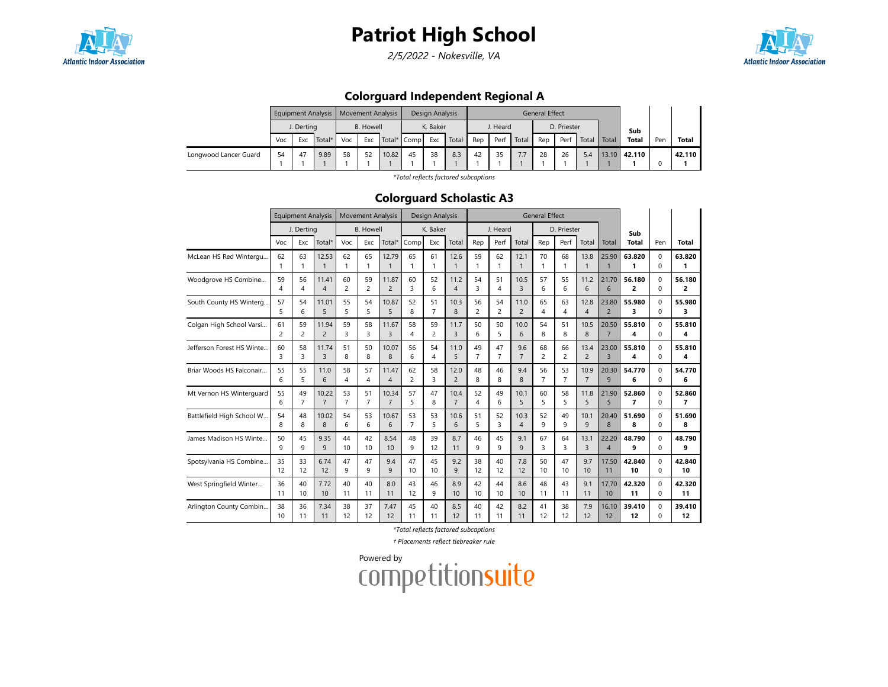

2/5/2022 - Nokesville, VA



### Colorguard Independent Regional A

|                       |     | <b>Equipment Analysis</b> |      |    |                  | <b>Movement Analysis</b> |    | Design Analysis |       |     |          |       | <b>General Effect</b> |             |       |       |              |     |        |
|-----------------------|-----|---------------------------|------|----|------------------|--------------------------|----|-----------------|-------|-----|----------|-------|-----------------------|-------------|-------|-------|--------------|-----|--------|
|                       |     | J. Derting                |      |    | <b>B.</b> Howell |                          |    | K. Baker        |       |     | J. Heard |       |                       | D. Priester |       |       | Sub          |     |        |
|                       | Voc | Total*<br>Voc<br>Exc      |      |    | Exc              | Total* Comp              |    | Exc             | Total | Rep | Perf     | Total | Rep                   | Perf        | Total | Total | <b>Total</b> | Pen | Total  |
| Longwood Lancer Guard | 54  | 47                        | 9.89 | 58 | 52               | 10.82                    | 45 | 38              | 8.3   | 42  | 35       | 7.7   | 28                    | 26          | 5.4   |       | 13.10 42.110 |     | 42.110 |
|                       |     |                           |      |    |                  |                          |    |                 |       |     |          |       |                       |             |       |       |              |     |        |

\*Total reflects factored subcaptions

#### Colorguard Scholastic A3

|                            |                | <b>Equipment Analysis</b> |                |                | <b>Movement Analysis</b> |                |                | Design Analysis |                |                |                |                | <b>General Effect</b> |                |                |                |              |             |                |
|----------------------------|----------------|---------------------------|----------------|----------------|--------------------------|----------------|----------------|-----------------|----------------|----------------|----------------|----------------|-----------------------|----------------|----------------|----------------|--------------|-------------|----------------|
|                            |                | J. Derting                |                |                | <b>B.</b> Howell         |                |                | K. Baker        |                |                | J. Heard       |                |                       | D. Priester    |                |                | Sub          |             |                |
|                            | Voc            | Exc                       | Total*         | Voc            | Exc                      | Total*         | Comp           | Exc             | Total          | Rep            | Perf           | Total          | Rep                   | Perf           | Total          | Total          | <b>Total</b> | Pen         | <b>Total</b>   |
| McLean HS Red Wintergu     | 62             | 63                        | 12.53          | 62             | 65                       | 12.79          | 65             | 61              | 12.6           | 59             | 62             | 12.1           | 70                    | 68             | 13.8           | 25.90          | 63.820       | $\Omega$    | 63.820         |
|                            | 1              | 1                         | 1              | 1              | $\mathbf{1}$             | 1              | $\mathbf{1}$   | 1               | $\mathbf{1}$   | 1              | 1              | $\mathbf{1}$   | $\mathbf{1}$          | 1              | $\mathbf{1}$   | $\overline{1}$ | 1            | $\Omega$    | 1              |
| Woodgrove HS Combine       | 59             | 56                        | 11.41          | 60             | 59                       | 11.87          | 60             | 52              | 11.2           | 54             | 51             | 10.5           | 57                    | 55             | 11.2           | 21.70          | 56.180       | $\Omega$    | 56.180         |
|                            | 4              | 4                         | $\overline{4}$ | $\overline{c}$ | 2                        | $\overline{2}$ | 3              | 6               | $\overline{4}$ | 3              | 4              | $\overline{3}$ | 6                     | 6              | 6              | 6              | 2            | $\Omega$    | $\overline{2}$ |
| South County HS Winterg    | 57             | 54                        | 11.01          | 55             | 54                       | 10.87          | 52             | 51              | 10.3           | 56             | 54             | 11.0           | 65                    | 63             | 12.8           | 23.80          | 55.980       | $\mathbf 0$ | 55.980         |
|                            | 5              | 6                         | 5              | 5              | 5                        | 5              | 8              | $\overline{7}$  | 8              | $\overline{c}$ | $\overline{c}$ | $\overline{2}$ | 4                     | 4              | 4              | $\overline{2}$ | 3            | $\Omega$    | 3              |
| Colgan High School Varsi   | 61             | 59                        | 11.94          | 59             | 58                       | 11.67          | 58             | 59              | 11.7           | 50             | 50             | 10.0           | 54                    | 51             | 10.5           | 20.50          | 55.810       | $\Omega$    | 55.810         |
|                            | $\overline{2}$ | $\overline{c}$            | $\overline{c}$ | 3              | 3                        | 3              | 4              | $\overline{c}$  | 3              | 6              | 5              | 6              | 8                     | 8              | 8              | $\overline{7}$ | 4            | $\Omega$    | 4              |
| Jefferson Forest HS Winte. | 60             | 58                        | 11.74          | 51             | 50                       | 10.07          | 56             | 54              | 11.0           | 49             | 47             | 9.6            | 68                    | 66             | 13.4           | 23.00          | 55.810       | $\Omega$    | 55.810         |
|                            | 3              | 3                         | 3              | 8              | 8                        | 8              | 6              | 4               | 5              | $\overline{7}$ | $\overline{7}$ | $\overline{7}$ | $\overline{c}$        | 2              | $\overline{c}$ | $\overline{3}$ | 4            | $\Omega$    | 4              |
| Briar Woods HS Falconair   | 55             | 55                        | 11.0           | 58             | 57                       | 11.47          | 62             | 58              | 12.0           | 48             | 46             | 9.4            | 56                    | 53             | 10.9           | 20.30          | 54.770       | $\mathbf 0$ | 54.770         |
|                            | 6              | 5                         | 6              | 4              | $\overline{4}$           | $\overline{4}$ | $\overline{2}$ | 3               | $\overline{2}$ | 8              | 8              | 8              | $\overline{7}$        | $\overline{7}$ | $\overline{7}$ | 9              | 6            | $\Omega$    | 6              |
| Mt Vernon HS Winterguard   | 55             | 49                        | 10.22          | 53             | 51                       | 10.34          | 57             | 47              | 10.4           | 52             | 49             | 10.1           | 60                    | 58             | 11.8           | 21.90          | 52.860       | $\Omega$    | 52.860         |
|                            | 6              | 7                         | $\overline{7}$ | $\overline{7}$ | $\overline{7}$           | $\overline{7}$ | 5              | 8               | $\overline{7}$ | 4              | 6              | 5              | 5                     | 5              | 5              | 5              | 7            | $\Omega$    | 7              |
| Battlefield High School W  | 54             | 48                        | 10.02          | 54             | 53                       | 10.67          | 53             | 53              | 10.6           | 51             | 52             | 10.3           | 52                    | 49             | 10.1           | 20.40          | 51.690       | $\Omega$    | 51.690         |
|                            | 8              | 8                         | 8              | 6              | 6                        | 6              | $\overline{7}$ | 5               | 6              | 5              | 3              | $\overline{4}$ | 9                     | 9              | 9              | 8              | 8            | $\Omega$    | 8              |
| James Madison HS Winte     | 50             | 45                        | 9.35           | 44             | 42                       | 8.54           | 48             | 39              | 8.7            | 46             | 45             | 9.1            | 67                    | 64             | 13.1           | 22.20          | 48.790       | $\mathbf 0$ | 48.790         |
|                            | 9              | 9                         | 9              | 10             | 10                       | 10             | 9              | 12              | 11             | 9              | 9              | 9              | 3                     | 3              | 3              | $\overline{4}$ | 9            | $\Omega$    | 9              |
| Spotsylvania HS Combine    | 35             | 33                        | 6.74           | 47             | 47                       | 9.4            | 47             | 45              | 9.2            | 38             | 40             | 7.8            | 50                    | 47             | 9.7            | 17.50          | 42.840       | $\Omega$    | 42.840         |
|                            | 12             | 12                        | 12             | 9              | 9                        | $\mathsf{Q}$   | 10             | 10              | 9              | 12             | 12             | 12             | 10                    | 10             | 10             | 11             | 10           | $\Omega$    | 10             |
| West Springfield Winter    | 36             | 40                        | 7.72           | 40             | 40                       | 8.0            | 43             | 46              | 8.9            | 42             | 44             | 8.6            | 48                    | 43             | 9.1            | 17.70          | 42.320       | $\mathbf 0$ | 42.320         |
|                            | 11             | 10                        | 10             | 11             | 11                       | 11             | 12             | 9               | 10             | 10             | 10             | 10             | 11                    | 11             | 11             | 10             | 11           | $\Omega$    | 11             |
| Arlington County Combin    | 38             | 36                        | 7.34           | 38             | 37                       | 7.47           | 45             | 40              | 8.5            | 40             | 42             | 8.2            | 41                    | 38             | 7.9            | 16.10          | 39.410       | $\Omega$    | 39.410         |
|                            | 10             | 11                        | 11             | 12             | 12                       | 12             | 11             | 11              | 12             | 11             | 11             | 11             | 12                    | 12             | 12             | 12             | 12           | $\Omega$    | 12             |

\*Total reflects factored subcaptions

† Placements reflect tiebreaker rule

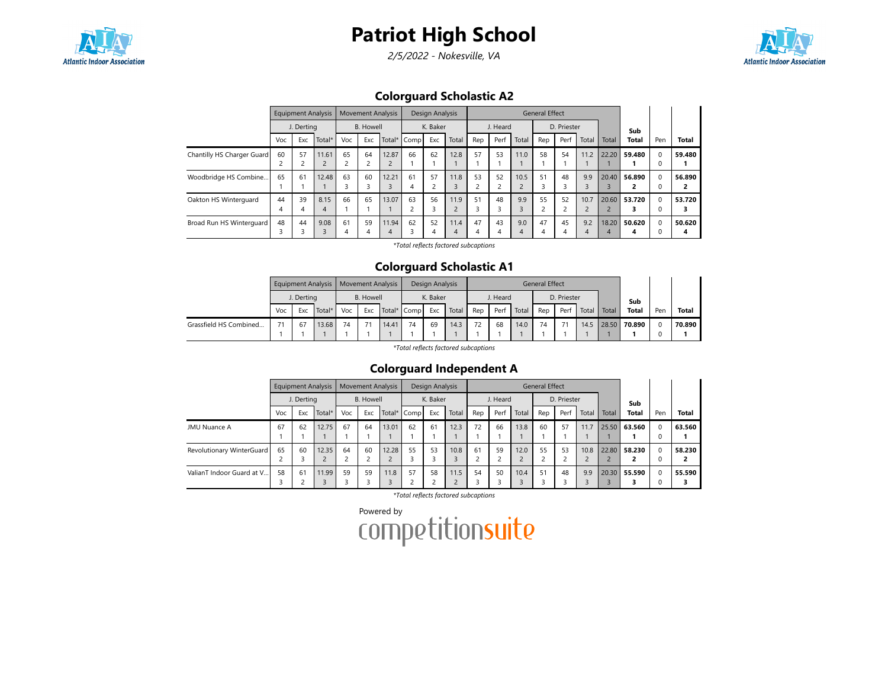

2/5/2022 - Nokesville, VA



Colorguard Scholastic A2

|                            |     | <b>Equipment Analysis</b> |                |     | <b>Movement Analysis</b> |       |             | Design Analysis |       |     |          |       | <b>General Effect</b> |             |            |       |              |          |              |
|----------------------------|-----|---------------------------|----------------|-----|--------------------------|-------|-------------|-----------------|-------|-----|----------|-------|-----------------------|-------------|------------|-------|--------------|----------|--------------|
|                            |     | J. Dertina                |                |     | <b>B.</b> Howell         |       |             | K. Baker        |       |     | J. Heard |       |                       | D. Priester |            |       | Sub          |          |              |
|                            | Voc | Exc                       | Total*         | Voc | Exc                      |       | Total* Comp | Exc             | Total | Rep | Perf     | Total | Rep                   | Perf        | Total      | Total | <b>Total</b> | Pen      | <b>Total</b> |
| Chantilly HS Charger Guard | 60  | 57                        | 11.61          | 65  | 64                       | 12.87 | 66          | 62              | 12.8  | 57  | 53       | 11.0  | 58                    | 54          | 11.2       | 22.20 | 59.480       | $\Omega$ | 59.480       |
|                            |     |                           | $\overline{2}$ |     |                          |       |             |                 |       |     |          |       |                       |             |            |       |              | 0        |              |
| Woodbridge HS Combine      | 65  | 61                        | 12.48          | 63  | 60                       | 12.21 | 61          | 57              | 11.8  | 53  | 52       | 10.5  | 51                    | 48          | 9.9        | 20.40 | 56.890       | $\Omega$ | 56.890       |
|                            |     |                           |                |     | 3                        |       | 4           | $\overline{c}$  |       |     |          |       | 3                     | J.          |            |       |              | 0        |              |
| Oakton HS Winterguard      | 44  | 39                        | 8.15           | 66  | 65                       | 13.07 | 63          | 56              | 11.9  | 51  | 48       | 9.9   | 55                    | 52          | 10.7       | 20.60 | 53.720       | $\Omega$ | 53.720       |
|                            | 4   | 4                         | 4              |     |                          |       |             | 3               |       |     |          |       | $\overline{ }$        |             | $\epsilon$ |       |              | 0        |              |
| Broad Run HS Winterguard   | 48  | 44                        | 9.08           | 61  | 59                       | 11.94 | 62          | 52              | 11.4  | 47  | 43       | 9.0   | 47                    | 45          | 9.2        | 18.20 | 50.620       | $\Omega$ | 50.620       |
|                            |     |                           |                | 4   | 4                        | 4     |             | 4               | 4     | 4   | 4        | 4     | 4                     | 4           | 4          | 4     | л            | O        | 4            |

\*Total reflects factored subcaptions

### Colorguard Scholastic A1

|                        |     |               | Equipment Analysis   Movement Analysis |    |           |       |             | Design Analysis |       |     |          |       | <b>General Effect</b> |             |       |       |              |          |              |
|------------------------|-----|---------------|----------------------------------------|----|-----------|-------|-------------|-----------------|-------|-----|----------|-------|-----------------------|-------------|-------|-------|--------------|----------|--------------|
|                        |     | J. Derting    |                                        |    | B. Howell |       |             | K. Baker        |       |     | J. Heard |       |                       | D. Priester |       |       | Sub          |          |              |
|                        | Voc | Total*<br>Exc |                                        |    | Exc       |       | Total* Comp | Exc             | Total | Rep | Perf     | Total | Rep                   | Perf        | Total | Total | <b>Total</b> | Pen      | <b>Total</b> |
| Grassfield HS Combined |     | 67            | 13.68                                  | 74 | 71        | 14.41 | 74          | 69              | 14.3  | 72  | 68       | 14.0  | 74                    |             | 14.5  |       | 28.50 70.890 | $\Omega$ | 70.890       |

\*Total reflects factored subcaptions

### Colorguard Independent A

|                           |     |            | Equipment Analysis |     |                  | <b>Movement Analysis</b> |             | Design Analysis |       |         |          |       | <b>General Effect</b> |             |       |       |        |              |              |
|---------------------------|-----|------------|--------------------|-----|------------------|--------------------------|-------------|-----------------|-------|---------|----------|-------|-----------------------|-------------|-------|-------|--------|--------------|--------------|
|                           |     | J. Derting |                    |     | <b>B.</b> Howell |                          |             | K. Baker        |       |         | J. Heard |       |                       | D. Priester |       |       | Sub    |              |              |
|                           | Voc | Exc        | Total $*$          | Voc | Exc              |                          | Total* Comp | Exc             | Total | Rep     | Perf     | Total | Rep                   | Perf        | Total | Total | Total  | Pen          | <b>Total</b> |
| JMU Nuance A              | 67  | 62         | 12.75              | 67  | 64               | 13.01                    | 62          | 61              | 12.3  | 72      | 66       | 13.8  | 60                    | 57          | 11.7  | 25.50 | 63.560 | $\Omega$     | 63.560       |
| Revolutionary WinterGuard | 65  | 60         | 12.35              | 64  | 60               | 12.28                    | 55          | 53              | 10.8  | 61<br>h | 59       | 12.0  | 55                    | 53          | 10.8  | 22.80 | 58.230 | $\Omega$     | 58.230       |
| ValianT Indoor Guard at V | 58  | 61         | 11.99              | 59  | 59               | 11.8                     | 57          | 58              | 11.5  | 54      | 50       | 10.4  | 51                    | 48          | 9.9   | 20.30 | 55.590 | <sup>0</sup> | 55.590       |

\*Total reflects factored subcaptions